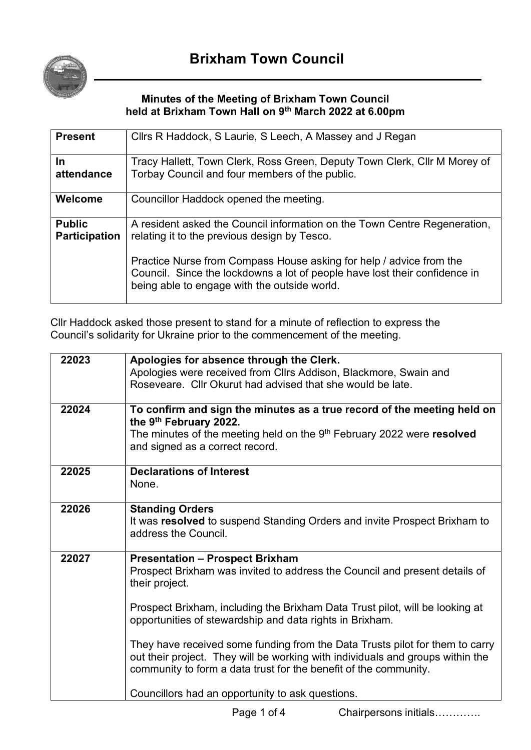

## **Minutes of the Meeting of Brixham Town Council held at Brixham Town Hall on 9 th March 2022 at 6.00pm**

| <b>Present</b>                        | Cllrs R Haddock, S Laurie, S Leech, A Massey and J Regan                                                                                                                                          |
|---------------------------------------|---------------------------------------------------------------------------------------------------------------------------------------------------------------------------------------------------|
| In.<br>attendance                     | Tracy Hallett, Town Clerk, Ross Green, Deputy Town Clerk, Cllr M Morey of<br>Torbay Council and four members of the public.                                                                       |
| Welcome                               | Councillor Haddock opened the meeting.                                                                                                                                                            |
| <b>Public</b><br><b>Participation</b> | A resident asked the Council information on the Town Centre Regeneration,<br>relating it to the previous design by Tesco.                                                                         |
|                                       | Practice Nurse from Compass House asking for help / advice from the<br>Council. Since the lockdowns a lot of people have lost their confidence in<br>being able to engage with the outside world. |

Cllr Haddock asked those present to stand for a minute of reflection to express the Council's solidarity for Ukraine prior to the commencement of the meeting.

| 22023 | Apologies for absence through the Clerk.<br>Apologies were received from Cllrs Addison, Blackmore, Swain and<br>Roseveare. Cllr Okurut had advised that she would be late.                                                                                                                                                                                                                                                                                                                                                                                                   |
|-------|------------------------------------------------------------------------------------------------------------------------------------------------------------------------------------------------------------------------------------------------------------------------------------------------------------------------------------------------------------------------------------------------------------------------------------------------------------------------------------------------------------------------------------------------------------------------------|
| 22024 | To confirm and sign the minutes as a true record of the meeting held on<br>the 9th February 2022.<br>The minutes of the meeting held on the $9th$ February 2022 were resolved<br>and signed as a correct record.                                                                                                                                                                                                                                                                                                                                                             |
| 22025 | <b>Declarations of Interest</b><br>None.                                                                                                                                                                                                                                                                                                                                                                                                                                                                                                                                     |
| 22026 | <b>Standing Orders</b><br>It was resolved to suspend Standing Orders and invite Prospect Brixham to<br>address the Council.                                                                                                                                                                                                                                                                                                                                                                                                                                                  |
| 22027 | <b>Presentation - Prospect Brixham</b><br>Prospect Brixham was invited to address the Council and present details of<br>their project.<br>Prospect Brixham, including the Brixham Data Trust pilot, will be looking at<br>opportunities of stewardship and data rights in Brixham.<br>They have received some funding from the Data Trusts pilot for them to carry<br>out their project. They will be working with individuals and groups within the<br>community to form a data trust for the benefit of the community.<br>Councillors had an opportunity to ask questions. |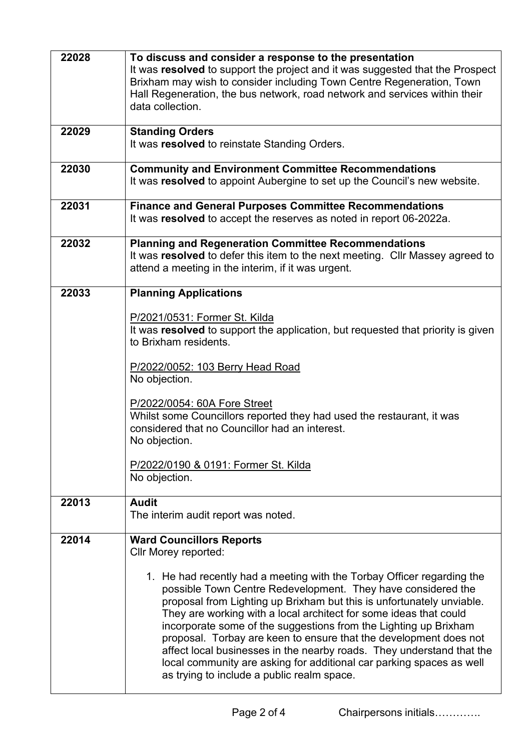| 22028 | To discuss and consider a response to the presentation<br>It was resolved to support the project and it was suggested that the Prospect<br>Brixham may wish to consider including Town Centre Regeneration, Town<br>Hall Regeneration, the bus network, road network and services within their<br>data collection.                                                                                                                                                                                                                                                                                                                                                                             |
|-------|------------------------------------------------------------------------------------------------------------------------------------------------------------------------------------------------------------------------------------------------------------------------------------------------------------------------------------------------------------------------------------------------------------------------------------------------------------------------------------------------------------------------------------------------------------------------------------------------------------------------------------------------------------------------------------------------|
| 22029 | <b>Standing Orders</b><br>It was resolved to reinstate Standing Orders.                                                                                                                                                                                                                                                                                                                                                                                                                                                                                                                                                                                                                        |
| 22030 | <b>Community and Environment Committee Recommendations</b><br>It was resolved to appoint Aubergine to set up the Council's new website.                                                                                                                                                                                                                                                                                                                                                                                                                                                                                                                                                        |
| 22031 | <b>Finance and General Purposes Committee Recommendations</b><br>It was resolved to accept the reserves as noted in report 06-2022a.                                                                                                                                                                                                                                                                                                                                                                                                                                                                                                                                                           |
| 22032 | <b>Planning and Regeneration Committee Recommendations</b><br>It was resolved to defer this item to the next meeting. Cllr Massey agreed to<br>attend a meeting in the interim, if it was urgent.                                                                                                                                                                                                                                                                                                                                                                                                                                                                                              |
| 22033 | <b>Planning Applications</b><br>P/2021/0531: Former St. Kilda<br>It was resolved to support the application, but requested that priority is given<br>to Brixham residents.<br>P/2022/0052: 103 Berry Head Road<br>No objection.<br>P/2022/0054: 60A Fore Street<br>Whilst some Councillors reported they had used the restaurant, it was<br>considered that no Councillor had an interest.<br>No objection.<br>P/2022/0190 & 0191: Former St. Kilda<br>No objection.                                                                                                                                                                                                                           |
| 22013 | <b>Audit</b><br>The interim audit report was noted.                                                                                                                                                                                                                                                                                                                                                                                                                                                                                                                                                                                                                                            |
| 22014 | <b>Ward Councillors Reports</b><br><b>Cllr Morey reported:</b><br>1. He had recently had a meeting with the Torbay Officer regarding the<br>possible Town Centre Redevelopment. They have considered the<br>proposal from Lighting up Brixham but this is unfortunately unviable.<br>They are working with a local architect for some ideas that could<br>incorporate some of the suggestions from the Lighting up Brixham<br>proposal. Torbay are keen to ensure that the development does not<br>affect local businesses in the nearby roads. They understand that the<br>local community are asking for additional car parking spaces as well<br>as trying to include a public realm space. |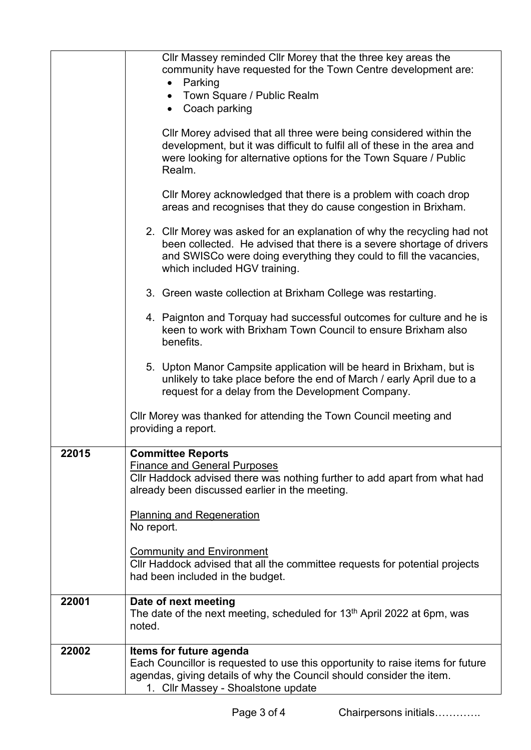|       | Cllr Massey reminded Cllr Morey that the three key areas the<br>community have requested for the Town Centre development are:<br>• Parking<br>• Town Square / Public Realm                                                                             |
|-------|--------------------------------------------------------------------------------------------------------------------------------------------------------------------------------------------------------------------------------------------------------|
|       | • Coach parking<br>Cllr Morey advised that all three were being considered within the<br>development, but it was difficult to fulfil all of these in the area and<br>were looking for alternative options for the Town Square / Public<br>Realm.       |
|       | Cllr Morey acknowledged that there is a problem with coach drop<br>areas and recognises that they do cause congestion in Brixham.                                                                                                                      |
|       | 2. Cllr Morey was asked for an explanation of why the recycling had not<br>been collected. He advised that there is a severe shortage of drivers<br>and SWISCo were doing everything they could to fill the vacancies,<br>which included HGV training. |
|       | 3. Green waste collection at Brixham College was restarting.                                                                                                                                                                                           |
|       | 4. Paignton and Torquay had successful outcomes for culture and he is<br>keen to work with Brixham Town Council to ensure Brixham also<br>benefits.                                                                                                    |
|       | 5. Upton Manor Campsite application will be heard in Brixham, but is<br>unlikely to take place before the end of March / early April due to a<br>request for a delay from the Development Company.                                                     |
|       | Cllr Morey was thanked for attending the Town Council meeting and<br>providing a report.                                                                                                                                                               |
| 22015 | <b>Committee Reports</b>                                                                                                                                                                                                                               |
|       | <b>Finance and General Purposes</b><br>Cllr Haddock advised there was nothing further to add apart from what had<br>already been discussed earlier in the meeting.                                                                                     |
|       | <b>Planning and Regeneration</b><br>No report.                                                                                                                                                                                                         |
|       | <b>Community and Environment</b><br>CIIr Haddock advised that all the committee requests for potential projects<br>had been included in the budget.                                                                                                    |
| 22001 | Date of next meeting<br>The date of the next meeting, scheduled for 13 <sup>th</sup> April 2022 at 6pm, was<br>noted.                                                                                                                                  |
| 22002 | Items for future agenda<br>Each Councillor is requested to use this opportunity to raise items for future<br>agendas, giving details of why the Council should consider the item.<br>1. Cllr Massey - Shoalstone update                                |